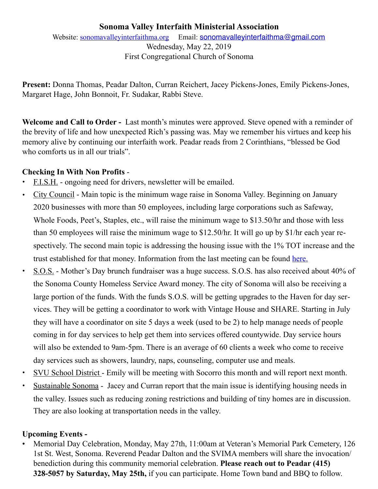# **Sonoma Valley Interfaith Ministerial Association**

Website: [sonomavalleyinterfaithma.org](http://sonomavalleyinterfaithma.org) Email: [sonomavalleyinterfaithma@gmail.com](mailto:sonomavalleyinterfaithma@gmail.com) Wednesday, May 22, 2019 First Congregational Church of Sonoma

**Present:** Donna Thomas, Peadar Dalton, Curran Reichert, Jacey Pickens-Jones, Emily Pickens-Jones, Margaret Hage, John Bonnoit, Fr. Sudakar, Rabbi Steve.

**Welcome and Call to Order -** Last month's minutes were approved. Steve opened with a reminder of the brevity of life and how unexpected Rich's passing was. May we remember his virtues and keep his memory alive by continuing our interfaith work. Peadar reads from 2 Corinthians, "blessed be God who comforts us in all our trials".

#### **Checking In With Non Profits** -

- **•** F.I.S.H. ongoing need for drivers, newsletter will be emailed.
- **•** City Council Main topic is the minimum wage raise in Sonoma Valley. Beginning on January 2020 businesses with more than 50 employees, including large corporations such as Safeway, Whole Foods, Peet's, Staples, etc., will raise the minimum wage to \$13.50/hr and those with less than 50 employees will raise the minimum wage to \$12.50/hr. It will go up by \$1/hr each year respectively. The second main topic is addressing the housing issue with the 1% TOT increase and the trust established for that money. Information from the last meeting can be found [here.](https://www.sonomacity.org/agendas-minutes-videos/)
- **•** S.O.S. Mother's Day brunch fundraiser was a huge success. S.O.S. has also received about 40% of the Sonoma County Homeless Service Award money. The city of Sonoma will also be receiving a large portion of the funds. With the funds S.O.S. will be getting upgrades to the Haven for day services. They will be getting a coordinator to work with Vintage House and SHARE. Starting in July they will have a coordinator on site 5 days a week (used to be 2) to help manage needs of people coming in for day services to help get them into services offered countywide. Day service hours will also be extended to 9am-5pm. There is an average of 60 clients a week who come to receive day services such as showers, laundry, naps, counseling, computer use and meals.
- SVU School District Emily will be meeting with Socorro this month and will report next month.
- Sustainable Sonoma Jacey and Curran report that the main issue is identifying housing needs in the valley. Issues such as reducing zoning restrictions and building of tiny homes are in discussion. They are also looking at transportation needs in the valley.

# **Upcoming Events -**

• Memorial Day Celebration, Monday, May 27th, 11:00am at Veteran's Memorial Park Cemetery, 126 1st St. West, Sonoma. Reverend Peadar Dalton and the SVIMA members will share the invocation/ benediction during this community memorial celebration. **Please reach out to Peadar (415) 328-5057 by Saturday, May 25th,** if you can participate. Home Town band and BBQ to follow.